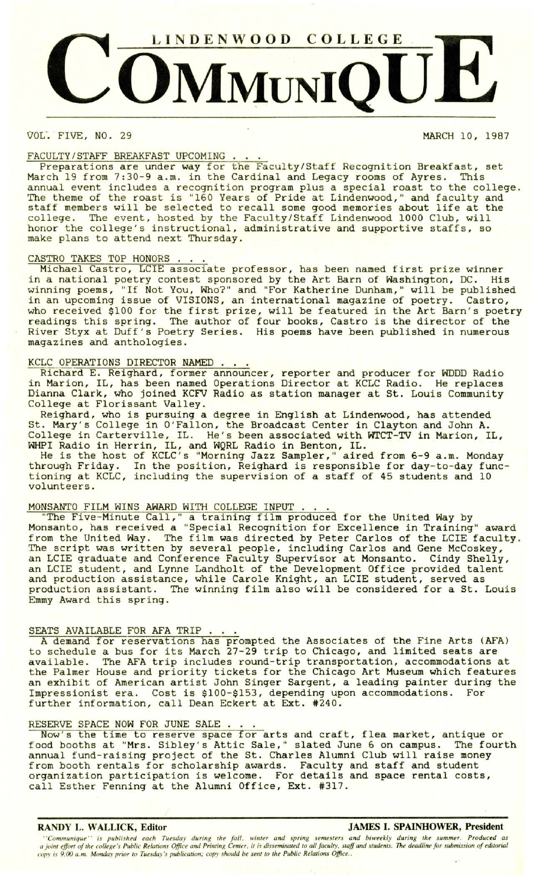

VOL. FIVE, NO. 29 MARCH 10, 1987

### FACULTY/STAFF BREAKFAST UPCOMING

Preparations are under way for the Faculty /Staff Recognition Breakfast, set March 19 from 7:30-9 a.m. in the Cardinal and Legacy rooms of Ayres. This annual event includes a recognition program plus a special roast to the college. The theme of the roast is "160 Years of Pride at Lindenwood," and faculty and staff members will be selected to recall some good memories about life at the college. The event, hosted by the Faculty/Staff Lindenwood 1000 Club, will honor the college's instructional, administrative and supportive staffs, so make plans to attend next Thursday.

# CASTRO TAKES TOP HONORS.

Michael Castro, LCIE associate professor, has been named first prize winner in a national poetry contest sponsored by the Art Barn of Washington, DC. His winning poems, "If Not You, Who?" and "For Katherine Dunham," will be published in an upcoming issue of VISIONS, an international magazine of poetry. Castro, who received \$100 for the first prize, will be featured in the Art Barn's poetry readings this spring. The author of four books, Castro is the director of the River Styx at Duff's Poetry Series. His poems have been published in numerous magazines and anthologies.

# KCLC OPERATIONS DIRECTOR NAMED.

Richard E. Reighard, former announcer, reporter and producer for WDDD Radio in Marion, IL, has been named Operations Director at KCLC Radio. He replaces Dianna Clark, who joined KCFV Radio as station manager at St. Louis Community College at Florissant Valley.

Reighard, who is pursuing a degree in English at Lindenwood, has attended St. Mary's College in O'Fallon, the Broadcast Center in Clayton and John A. College in Carterville, IL. He's been associated with WTCT-TV in Marion, IL, WHPI Radio in Herrin, IL, and WQRL Radio in Benton, IL.

He is the host of KCLC's "Morning Jazz Sampler," aired from 6-9 a.m. Monday through Friday. In the position, Reighard is responsible for day-to-day functioning at KCLC, including the supervision of a staff of 45 students and 10 volunteers.

# MONSANTO FILM WINS AWARD WITH COLLEGE INPUT.

"The Five-Minute Call," a training film produced for the United Way by Monsanto, has received a "Special Recognition for Excellence in Training" award from the United Way. The film was directed by Peter Carlos of the LCIE faculty. The script was written by several people, including Carlos and Gene Mccoskey, an LCIE graduate and Conference Faculty Supervisor at Monsanto. Cindy Shelly, an LCIE student, and Lynne Landholt of the Development Office provided talent and production assistance, while Carole Knight, an LCIE student, served as production assistant. The winning film also will be considered for a St. Louis Emmy Award this spring.

### SEATS AVAILABLE FOR AFA TRIP

A demand for reservations has prompted the Associates of the Fine Arts (AFA) to schedule a bus for its March 27-29 trip to Chicago, and limited seats are available. The AFA trip includes round-trip transportation, accommodations at the Palmer House and priority tickets for the Chicago Art Museum which features an exhibit of American artist John Singer Sargent, a leading painter during the Impressionist era. Cost is \$100-\$153, depending upon accommodations. For further information, call Dean Eckert at Ext. #240.

# RESERVE SPACE NOW FOR JUNE SALE

Now's the time to reserve space for arts and craft, flea market, antique or food booths at "Mrs. Sibley's Attic Sale," slated June 6 on campus. The fourth annual fund-raising project of the St. Charles Alumni Club will raise money from booth rentals for scholarship awards. Faculty and staff and student organization participation is welcome. For details and space rental costs, call Esther Fenning at the Alumni Office, Ext. #317.

# **RANDY L. WALLICK, Editor JAMES I. SPAINHOWER, President**

*''Communique ' ' is published each Tuesday during the fall, winter and spring semesters and biweekly during the summer. Produced as a joint effort of the college's Public Relations Office and Printing Center, it is disseminated to all faculty , staff and students. The deadline for submission of editorial copy is 9:00 a. m. Monday prior to Tuesday 's publication; copy should be sent to the Public Relations Office ..*